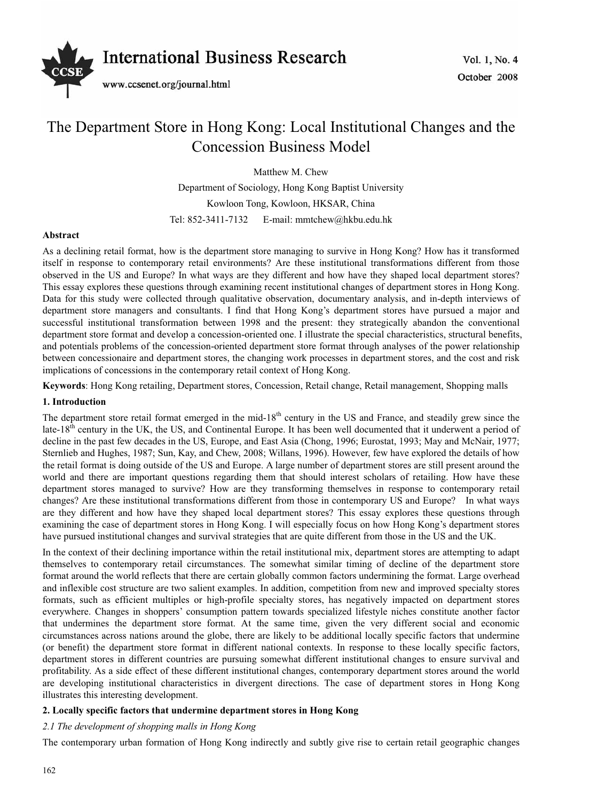

# The Department Store in Hong Kong: Local Institutional Changes and the Concession Business Model

Matthew M. Chew Department of Sociology, Hong Kong Baptist University Kowloon Tong, Kowloon, HKSAR, China Tel: 852-3411-7132 E-mail: mmtchew@hkbu.edu.hk

# **Abstract**

As a declining retail format, how is the department store managing to survive in Hong Kong? How has it transformed itself in response to contemporary retail environments? Are these institutional transformations different from those observed in the US and Europe? In what ways are they different and how have they shaped local department stores? This essay explores these questions through examining recent institutional changes of department stores in Hong Kong. Data for this study were collected through qualitative observation, documentary analysis, and in-depth interviews of department store managers and consultants. I find that Hong Kong's department stores have pursued a major and successful institutional transformation between 1998 and the present: they strategically abandon the conventional department store format and develop a concession-oriented one. I illustrate the special characteristics, structural benefits, and potentials problems of the concession-oriented department store format through analyses of the power relationship between concessionaire and department stores, the changing work processes in department stores, and the cost and risk implications of concessions in the contemporary retail context of Hong Kong.

**Keywords**: Hong Kong retailing, Department stores, Concession, Retail change, Retail management, Shopping malls

## **1. Introduction**

The department store retail format emerged in the mid-18<sup>th</sup> century in the US and France, and steadily grew since the late-18<sup>th</sup> century in the UK, the US, and Continental Europe. It has been well documented that it underwent a period of decline in the past few decades in the US, Europe, and East Asia (Chong, 1996; Eurostat, 1993; May and McNair, 1977; Sternlieb and Hughes, 1987; Sun, Kay, and Chew, 2008; Willans, 1996). However, few have explored the details of how the retail format is doing outside of the US and Europe. A large number of department stores are still present around the world and there are important questions regarding them that should interest scholars of retailing. How have these department stores managed to survive? How are they transforming themselves in response to contemporary retail changes? Are these institutional transformations different from those in contemporary US and Europe? In what ways are they different and how have they shaped local department stores? This essay explores these questions through examining the case of department stores in Hong Kong. I will especially focus on how Hong Kong's department stores have pursued institutional changes and survival strategies that are quite different from those in the US and the UK.

In the context of their declining importance within the retail institutional mix, department stores are attempting to adapt themselves to contemporary retail circumstances. The somewhat similar timing of decline of the department store format around the world reflects that there are certain globally common factors undermining the format. Large overhead and inflexible cost structure are two salient examples. In addition, competition from new and improved specialty stores formats, such as efficient multiples or high-profile specialty stores, has negatively impacted on department stores everywhere. Changes in shoppers' consumption pattern towards specialized lifestyle niches constitute another factor that undermines the department store format. At the same time, given the very different social and economic circumstances across nations around the globe, there are likely to be additional locally specific factors that undermine (or benefit) the department store format in different national contexts. In response to these locally specific factors, department stores in different countries are pursuing somewhat different institutional changes to ensure survival and profitability. As a side effect of these different institutional changes, contemporary department stores around the world are developing institutional characteristics in divergent directions. The case of department stores in Hong Kong illustrates this interesting development.

# **2. Locally specific factors that undermine department stores in Hong Kong**

# *2.1 The development of shopping malls in Hong Kong*

The contemporary urban formation of Hong Kong indirectly and subtly give rise to certain retail geographic changes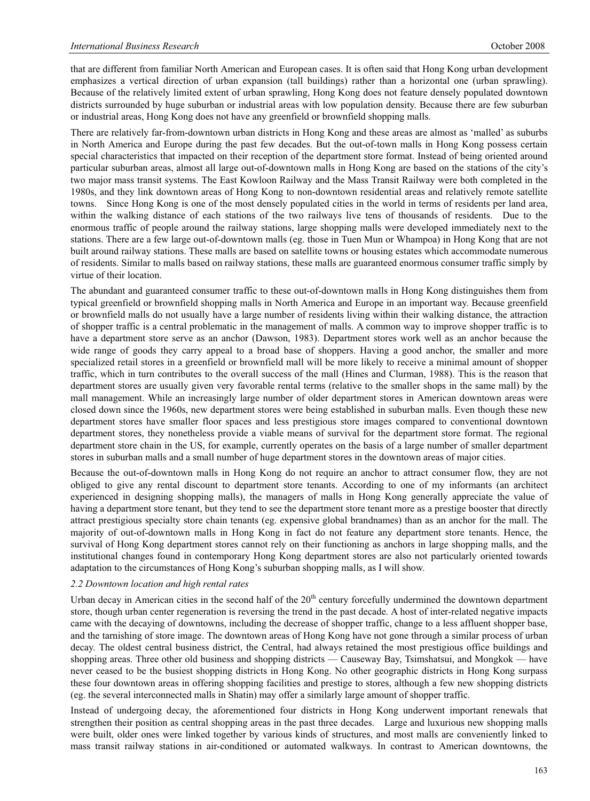that are different from familiar North American and European cases. It is often said that Hong Kong urban development emphasizes a vertical direction of urban expansion (tall buildings) rather than a horizontal one (urban sprawling). Because of the relatively limited extent of urban sprawling, Hong Kong does not feature densely populated downtown districts surrounded by huge suburban or industrial areas with low population density. Because there are few suburban or industrial areas, Hong Kong does not have any greenfield or brownfield shopping malls.

There are relatively far-from-downtown urban districts in Hong Kong and these areas are almost as 'malled' as suburbs in North America and Europe during the past few decades. But the out-of-town malls in Hong Kong possess certain special characteristics that impacted on their reception of the department store format. Instead of being oriented around particular suburban areas, almost all large out-of-downtown malls in Hong Kong are based on the stations of the city's two major mass transit systems. The East Kowloon Railway and the Mass Transit Railway were both completed in the 1980s, and they link downtown areas of Hong Kong to non-downtown residential areas and relatively remote satellite towns. Since Hong Kong is one of the most densely populated cities in the world in terms of residents per land area, within the walking distance of each stations of the two railways live tens of thousands of residents. Due to the enormous traffic of people around the railway stations, large shopping malls were developed immediately next to the stations. There are a few large out-of-downtown malls (eg. those in Tuen Mun or Whampoa) in Hong Kong that are not built around railway stations. These malls are based on satellite towns or housing estates which accommodate numerous of residents. Similar to malls based on railway stations, these malls are guaranteed enormous consumer traffic simply by virtue of their location.

The abundant and guaranteed consumer traffic to these out-of-downtown malls in Hong Kong distinguishes them from typical greenfield or brownfield shopping malls in North America and Europe in an important way. Because greenfield or brownfield malls do not usually have a large number of residents living within their walking distance, the attraction of shopper traffic is a central problematic in the management of malls. A common way to improve shopper traffic is to have a department store serve as an anchor (Dawson, 1983). Department stores work well as an anchor because the wide range of goods they carry appeal to a broad base of shoppers. Having a good anchor, the smaller and more specialized retail stores in a greenfield or brownfield mall will be more likely to receive a minimal amount of shopper traffic, which in turn contributes to the overall success of the mall (Hines and Clurman, 1988). This is the reason that department stores are usually given very favorable rental terms (relative to the smaller shops in the same mall) by the mall management. While an increasingly large number of older department stores in American downtown areas were closed down since the 1960s, new department stores were being established in suburban malls. Even though these new department stores have smaller floor spaces and less prestigious store images compared to conventional downtown department stores, they nonetheless provide a viable means of survival for the department store format. The regional department store chain in the US, for example, currently operates on the basis of a large number of smaller department stores in suburban malls and a small number of huge department stores in the downtown areas of major cities.

Because the out-of-downtown malls in Hong Kong do not require an anchor to attract consumer flow, they are not obliged to give any rental discount to department store tenants. According to one of my informants (an architect experienced in designing shopping malls), the managers of malls in Hong Kong generally appreciate the value of having a department store tenant, but they tend to see the department store tenant more as a prestige booster that directly attract prestigious specialty store chain tenants (eg. expensive global brandnames) than as an anchor for the mall. The majority of out-of-downtown malls in Hong Kong in fact do not feature any department store tenants. Hence, the survival of Hong Kong department stores cannot rely on their functioning as anchors in large shopping malls, and the institutional changes found in contemporary Hong Kong department stores are also not particularly oriented towards adaptation to the circumstances of Hong Kong's suburban shopping malls, as I will show.

#### *2.2 Downtown location and high rental rates*

Urban decay in American cities in the second half of the  $20<sup>th</sup>$  century forcefully undermined the downtown department store, though urban center regeneration is reversing the trend in the past decade. A host of inter-related negative impacts came with the decaying of downtowns, including the decrease of shopper traffic, change to a less affluent shopper base, and the tarnishing of store image. The downtown areas of Hong Kong have not gone through a similar process of urban decay. The oldest central business district, the Central, had always retained the most prestigious office buildings and shopping areas. Three other old business and shopping districts — Causeway Bay, Tsimshatsui, and Mongkok — have never ceased to be the busiest shopping districts in Hong Kong. No other geographic districts in Hong Kong surpass these four downtown areas in offering shopping facilities and prestige to stores, although a few new shopping districts (eg. the several interconnected malls in Shatin) may offer a similarly large amount of shopper traffic.

Instead of undergoing decay, the aforementioned four districts in Hong Kong underwent important renewals that strengthen their position as central shopping areas in the past three decades. Large and luxurious new shopping malls were built, older ones were linked together by various kinds of structures, and most malls are conveniently linked to mass transit railway stations in air-conditioned or automated walkways. In contrast to American downtowns, the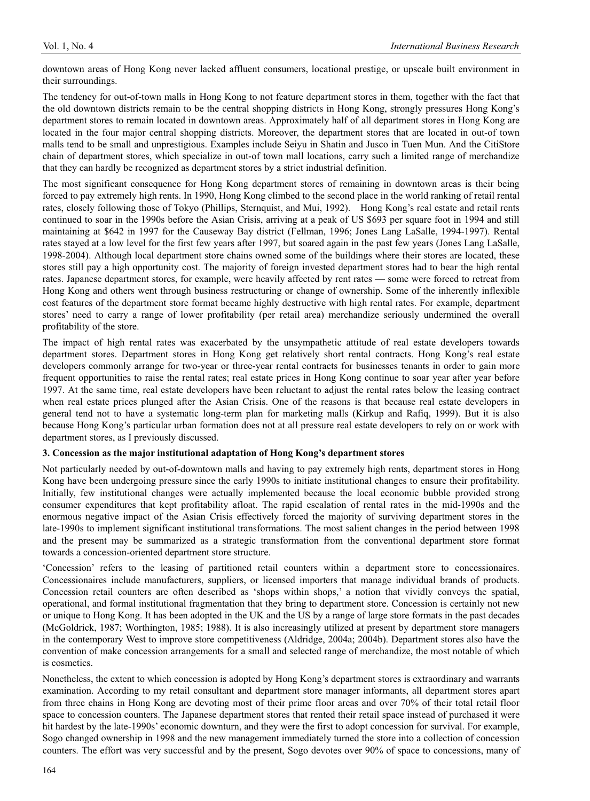downtown areas of Hong Kong never lacked affluent consumers, locational prestige, or upscale built environment in their surroundings.

The tendency for out-of-town malls in Hong Kong to not feature department stores in them, together with the fact that the old downtown districts remain to be the central shopping districts in Hong Kong, strongly pressures Hong Kong's department stores to remain located in downtown areas. Approximately half of all department stores in Hong Kong are located in the four major central shopping districts. Moreover, the department stores that are located in out-of town malls tend to be small and unprestigious. Examples include Seiyu in Shatin and Jusco in Tuen Mun. And the CitiStore chain of department stores, which specialize in out-of town mall locations, carry such a limited range of merchandize that they can hardly be recognized as department stores by a strict industrial definition.

The most significant consequence for Hong Kong department stores of remaining in downtown areas is their being forced to pay extremely high rents. In 1990, Hong Kong climbed to the second place in the world ranking of retail rental rates, closely following those of Tokyo (Phillips, Sternquist, and Mui, 1992). Hong Kong's real estate and retail rents continued to soar in the 1990s before the Asian Crisis, arriving at a peak of US \$693 per square foot in 1994 and still maintaining at \$642 in 1997 for the Causeway Bay district (Fellman, 1996; Jones Lang LaSalle, 1994-1997). Rental rates stayed at a low level for the first few years after 1997, but soared again in the past few years (Jones Lang LaSalle, 1998-2004). Although local department store chains owned some of the buildings where their stores are located, these stores still pay a high opportunity cost. The majority of foreign invested department stores had to bear the high rental rates. Japanese department stores, for example, were heavily affected by rent rates — some were forced to retreat from Hong Kong and others went through business restructuring or change of ownership. Some of the inherently inflexible cost features of the department store format became highly destructive with high rental rates. For example, department stores' need to carry a range of lower profitability (per retail area) merchandize seriously undermined the overall profitability of the store.

The impact of high rental rates was exacerbated by the unsympathetic attitude of real estate developers towards department stores. Department stores in Hong Kong get relatively short rental contracts. Hong Kong's real estate developers commonly arrange for two-year or three-year rental contracts for businesses tenants in order to gain more frequent opportunities to raise the rental rates; real estate prices in Hong Kong continue to soar year after year before 1997. At the same time, real estate developers have been reluctant to adjust the rental rates below the leasing contract when real estate prices plunged after the Asian Crisis. One of the reasons is that because real estate developers in general tend not to have a systematic long-term plan for marketing malls (Kirkup and Rafiq, 1999). But it is also because Hong Kong's particular urban formation does not at all pressure real estate developers to rely on or work with department stores, as I previously discussed.

## **3. Concession as the major institutional adaptation of Hong Kong's department stores**

Not particularly needed by out-of-downtown malls and having to pay extremely high rents, department stores in Hong Kong have been undergoing pressure since the early 1990s to initiate institutional changes to ensure their profitability. Initially, few institutional changes were actually implemented because the local economic bubble provided strong consumer expenditures that kept profitability afloat. The rapid escalation of rental rates in the mid-1990s and the enormous negative impact of the Asian Crisis effectively forced the majority of surviving department stores in the late-1990s to implement significant institutional transformations. The most salient changes in the period between 1998 and the present may be summarized as a strategic transformation from the conventional department store format towards a concession-oriented department store structure.

'Concession' refers to the leasing of partitioned retail counters within a department store to concessionaires. Concessionaires include manufacturers, suppliers, or licensed importers that manage individual brands of products. Concession retail counters are often described as 'shops within shops,' a notion that vividly conveys the spatial, operational, and formal institutional fragmentation that they bring to department store. Concession is certainly not new or unique to Hong Kong. It has been adopted in the UK and the US by a range of large store formats in the past decades (McGoldrick, 1987; Worthington, 1985; 1988). It is also increasingly utilized at present by department store managers in the contemporary West to improve store competitiveness (Aldridge, 2004a; 2004b). Department stores also have the convention of make concession arrangements for a small and selected range of merchandize, the most notable of which is cosmetics.

Nonetheless, the extent to which concession is adopted by Hong Kong's department stores is extraordinary and warrants examination. According to my retail consultant and department store manager informants, all department stores apart from three chains in Hong Kong are devoting most of their prime floor areas and over 70% of their total retail floor space to concession counters. The Japanese department stores that rented their retail space instead of purchased it were hit hardest by the late-1990s' economic downturn, and they were the first to adopt concession for survival. For example, Sogo changed ownership in 1998 and the new management immediately turned the store into a collection of concession counters. The effort was very successful and by the present, Sogo devotes over 90% of space to concessions, many of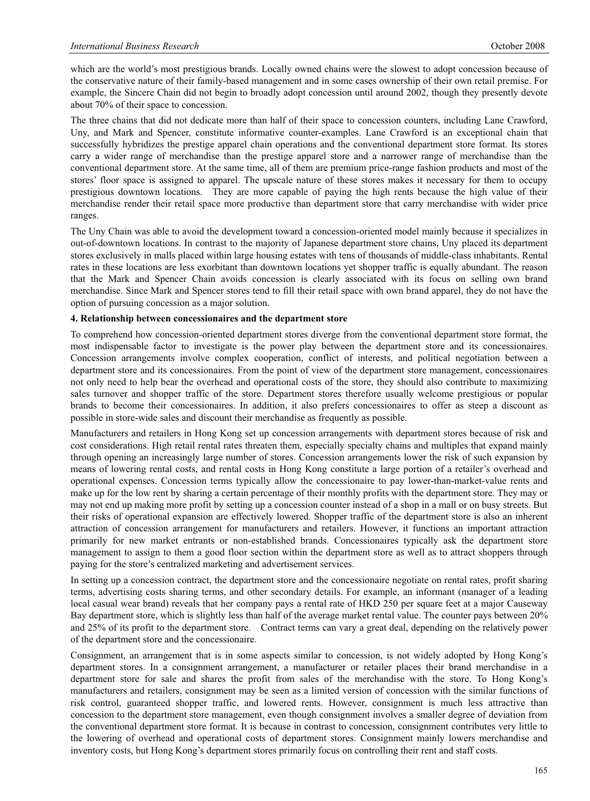which are the world's most prestigious brands. Locally owned chains were the slowest to adopt concession because of the conservative nature of their family-based management and in some cases ownership of their own retail premise. For example, the Sincere Chain did not begin to broadly adopt concession until around 2002, though they presently devote about 70% of their space to concession.

The three chains that did not dedicate more than half of their space to concession counters, including Lane Crawford, Uny, and Mark and Spencer, constitute informative counter-examples. Lane Crawford is an exceptional chain that successfully hybridizes the prestige apparel chain operations and the conventional department store format. Its stores carry a wider range of merchandise than the prestige apparel store and a narrower range of merchandise than the conventional department store. At the same time, all of them are premium price-range fashion products and most of the stores' floor space is assigned to apparel. The upscale nature of these stores makes it necessary for them to occupy prestigious downtown locations. They are more capable of paying the high rents because the high value of their merchandise render their retail space more productive than department store that carry merchandise with wider price ranges.

The Uny Chain was able to avoid the development toward a concession-oriented model mainly because it specializes in out-of-downtown locations. In contrast to the majority of Japanese department store chains, Uny placed its department stores exclusively in malls placed within large housing estates with tens of thousands of middle-class inhabitants. Rental rates in these locations are less exorbitant than downtown locations yet shopper traffic is equally abundant. The reason that the Mark and Spencer Chain avoids concession is clearly associated with its focus on selling own brand merchandise. Since Mark and Spencer stores tend to fill their retail space with own brand apparel, they do not have the option of pursuing concession as a major solution.

#### **4. Relationship between concessionaires and the department store**

To comprehend how concession-oriented department stores diverge from the conventional department store format, the most indispensable factor to investigate is the power play between the department store and its concessionaires. Concession arrangements involve complex cooperation, conflict of interests, and political negotiation between a department store and its concessionaires. From the point of view of the department store management, concessionaires not only need to help bear the overhead and operational costs of the store, they should also contribute to maximizing sales turnover and shopper traffic of the store. Department stores therefore usually welcome prestigious or popular brands to become their concessionaires. In addition, it also prefers concessionaires to offer as steep a discount as possible in store-wide sales and discount their merchandise as frequently as possible.

Manufacturers and retailers in Hong Kong set up concession arrangements with department stores because of risk and cost considerations. High retail rental rates threaten them, especially specialty chains and multiples that expand mainly through opening an increasingly large number of stores. Concession arrangements lower the risk of such expansion by means of lowering rental costs, and rental costs in Hong Kong constitute a large portion of a retailer's overhead and operational expenses. Concession terms typically allow the concessionaire to pay lower-than-market-value rents and make up for the low rent by sharing a certain percentage of their monthly profits with the department store. They may or may not end up making more profit by setting up a concession counter instead of a shop in a mall or on busy streets. But their risks of operational expansion are effectively lowered. Shopper traffic of the department store is also an inherent attraction of concession arrangement for manufacturers and retailers. However, it functions an important attraction primarily for new market entrants or non-established brands. Concessionaires typically ask the department store management to assign to them a good floor section within the department store as well as to attract shoppers through paying for the store's centralized marketing and advertisement services.

In setting up a concession contract, the department store and the concessionaire negotiate on rental rates, profit sharing terms, advertising costs sharing terms, and other secondary details. For example, an informant (manager of a leading local casual wear brand) reveals that her company pays a rental rate of HKD 250 per square feet at a major Causeway Bay department store, which is slightly less than half of the average market rental value. The counter pays between 20% and 25% of its profit to the department store. Contract terms can vary a great deal, depending on the relatively power of the department store and the concessionaire.

Consignment, an arrangement that is in some aspects similar to concession, is not widely adopted by Hong Kong's department stores. In a consignment arrangement, a manufacturer or retailer places their brand merchandise in a department store for sale and shares the profit from sales of the merchandise with the store. To Hong Kong's manufacturers and retailers, consignment may be seen as a limited version of concession with the similar functions of risk control, guaranteed shopper traffic, and lowered rents. However, consignment is much less attractive than concession to the department store management, even though consignment involves a smaller degree of deviation from the conventional department store format. It is because in contrast to concession, consignment contributes very little to the lowering of overhead and operational costs of department stores. Consignment mainly lowers merchandise and inventory costs, but Hong Kong's department stores primarily focus on controlling their rent and staff costs.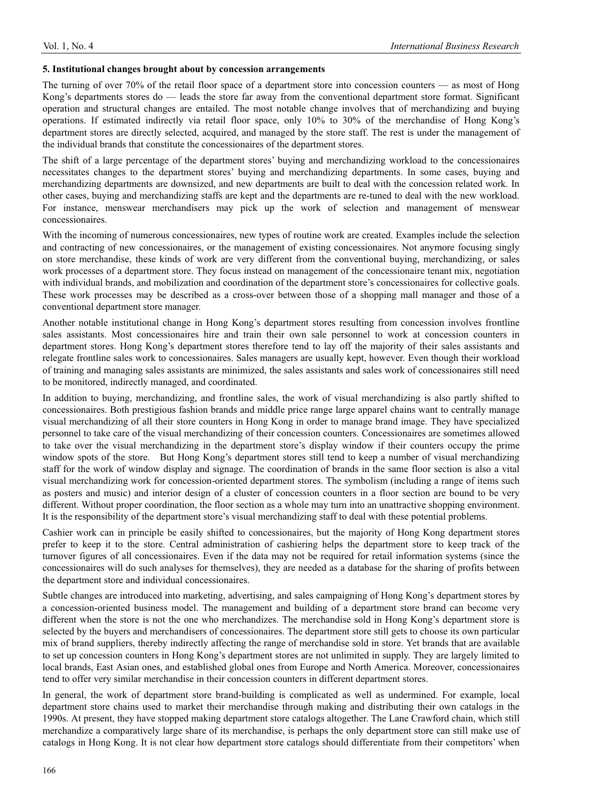#### **5. Institutional changes brought about by concession arrangements**

The turning of over 70% of the retail floor space of a department store into concession counters — as most of Hong Kong's departments stores do — leads the store far away from the conventional department store format. Significant operation and structural changes are entailed. The most notable change involves that of merchandizing and buying operations. If estimated indirectly via retail floor space, only 10% to 30% of the merchandise of Hong Kong's department stores are directly selected, acquired, and managed by the store staff. The rest is under the management of the individual brands that constitute the concessionaires of the department stores.

The shift of a large percentage of the department stores' buying and merchandizing workload to the concessionaires necessitates changes to the department stores' buying and merchandizing departments. In some cases, buying and merchandizing departments are downsized, and new departments are built to deal with the concession related work. In other cases, buying and merchandizing staffs are kept and the departments are re-tuned to deal with the new workload. For instance, menswear merchandisers may pick up the work of selection and management of menswear concessionaires.

With the incoming of numerous concessionaires, new types of routine work are created. Examples include the selection and contracting of new concessionaires, or the management of existing concessionaires. Not anymore focusing singly on store merchandise, these kinds of work are very different from the conventional buying, merchandizing, or sales work processes of a department store. They focus instead on management of the concessionaire tenant mix, negotiation with individual brands, and mobilization and coordination of the department store's concessionaires for collective goals. These work processes may be described as a cross-over between those of a shopping mall manager and those of a conventional department store manager.

Another notable institutional change in Hong Kong's department stores resulting from concession involves frontline sales assistants. Most concessionaires hire and train their own sale personnel to work at concession counters in department stores. Hong Kong's department stores therefore tend to lay off the majority of their sales assistants and relegate frontline sales work to concessionaires. Sales managers are usually kept, however. Even though their workload of training and managing sales assistants are minimized, the sales assistants and sales work of concessionaires still need to be monitored, indirectly managed, and coordinated.

In addition to buying, merchandizing, and frontline sales, the work of visual merchandizing is also partly shifted to concessionaires. Both prestigious fashion brands and middle price range large apparel chains want to centrally manage visual merchandizing of all their store counters in Hong Kong in order to manage brand image. They have specialized personnel to take care of the visual merchandizing of their concession counters. Concessionaires are sometimes allowed to take over the visual merchandizing in the department store's display window if their counters occupy the prime window spots of the store. But Hong Kong's department stores still tend to keep a number of visual merchandizing staff for the work of window display and signage. The coordination of brands in the same floor section is also a vital visual merchandizing work for concession-oriented department stores. The symbolism (including a range of items such as posters and music) and interior design of a cluster of concession counters in a floor section are bound to be very different. Without proper coordination, the floor section as a whole may turn into an unattractive shopping environment. It is the responsibility of the department store's visual merchandizing staff to deal with these potential problems.

Cashier work can in principle be easily shifted to concessionaires, but the majority of Hong Kong department stores prefer to keep it to the store. Central administration of cashiering helps the department store to keep track of the turnover figures of all concessionaires. Even if the data may not be required for retail information systems (since the concessionaires will do such analyses for themselves), they are needed as a database for the sharing of profits between the department store and individual concessionaires.

Subtle changes are introduced into marketing, advertising, and sales campaigning of Hong Kong's department stores by a concession-oriented business model. The management and building of a department store brand can become very different when the store is not the one who merchandizes. The merchandise sold in Hong Kong's department store is selected by the buyers and merchandisers of concessionaires. The department store still gets to choose its own particular mix of brand suppliers, thereby indirectly affecting the range of merchandise sold in store. Yet brands that are available to set up concession counters in Hong Kong's department stores are not unlimited in supply. They are largely limited to local brands, East Asian ones, and established global ones from Europe and North America. Moreover, concessionaires tend to offer very similar merchandise in their concession counters in different department stores.

In general, the work of department store brand-building is complicated as well as undermined. For example, local department store chains used to market their merchandise through making and distributing their own catalogs in the 1990s. At present, they have stopped making department store catalogs altogether. The Lane Crawford chain, which still merchandize a comparatively large share of its merchandise, is perhaps the only department store can still make use of catalogs in Hong Kong. It is not clear how department store catalogs should differentiate from their competitors' when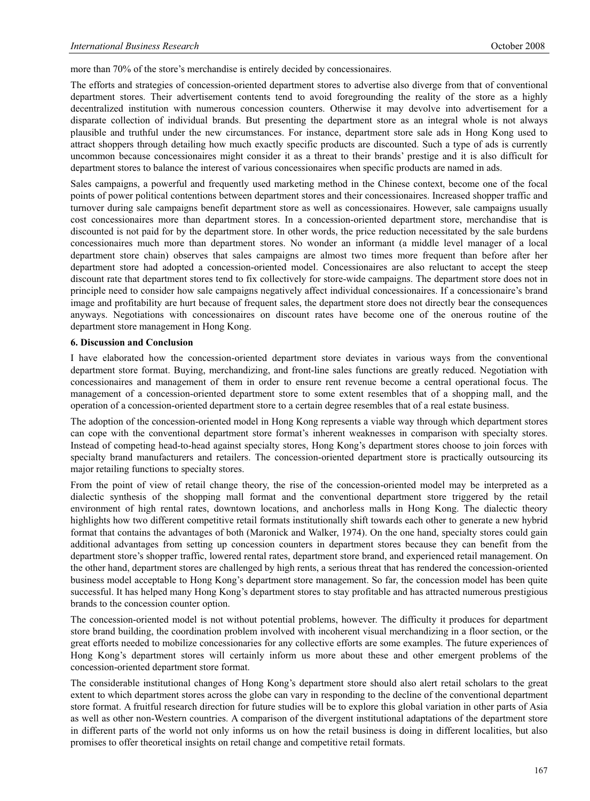more than 70% of the store's merchandise is entirely decided by concessionaires.

The efforts and strategies of concession-oriented department stores to advertise also diverge from that of conventional department stores. Their advertisement contents tend to avoid foregrounding the reality of the store as a highly decentralized institution with numerous concession counters. Otherwise it may devolve into advertisement for a disparate collection of individual brands. But presenting the department store as an integral whole is not always plausible and truthful under the new circumstances. For instance, department store sale ads in Hong Kong used to attract shoppers through detailing how much exactly specific products are discounted. Such a type of ads is currently uncommon because concessionaires might consider it as a threat to their brands' prestige and it is also difficult for department stores to balance the interest of various concessionaires when specific products are named in ads.

Sales campaigns, a powerful and frequently used marketing method in the Chinese context, become one of the focal points of power political contentions between department stores and their concessionaires. Increased shopper traffic and turnover during sale campaigns benefit department store as well as concessionaires. However, sale campaigns usually cost concessionaires more than department stores. In a concession-oriented department store, merchandise that is discounted is not paid for by the department store. In other words, the price reduction necessitated by the sale burdens concessionaires much more than department stores. No wonder an informant (a middle level manager of a local department store chain) observes that sales campaigns are almost two times more frequent than before after her department store had adopted a concession-oriented model. Concessionaires are also reluctant to accept the steep discount rate that department stores tend to fix collectively for store-wide campaigns. The department store does not in principle need to consider how sale campaigns negatively affect individual concessionaires. If a concessionaire's brand image and profitability are hurt because of frequent sales, the department store does not directly bear the consequences anyways. Negotiations with concessionaires on discount rates have become one of the onerous routine of the department store management in Hong Kong.

#### **6. Discussion and Conclusion**

I have elaborated how the concession-oriented department store deviates in various ways from the conventional department store format. Buying, merchandizing, and front-line sales functions are greatly reduced. Negotiation with concessionaires and management of them in order to ensure rent revenue become a central operational focus. The management of a concession-oriented department store to some extent resembles that of a shopping mall, and the operation of a concession-oriented department store to a certain degree resembles that of a real estate business.

The adoption of the concession-oriented model in Hong Kong represents a viable way through which department stores can cope with the conventional department store format's inherent weaknesses in comparison with specialty stores. Instead of competing head-to-head against specialty stores, Hong Kong's department stores choose to join forces with specialty brand manufacturers and retailers. The concession-oriented department store is practically outsourcing its major retailing functions to specialty stores.

From the point of view of retail change theory, the rise of the concession-oriented model may be interpreted as a dialectic synthesis of the shopping mall format and the conventional department store triggered by the retail environment of high rental rates, downtown locations, and anchorless malls in Hong Kong. The dialectic theory highlights how two different competitive retail formats institutionally shift towards each other to generate a new hybrid format that contains the advantages of both (Maronick and Walker, 1974). On the one hand, specialty stores could gain additional advantages from setting up concession counters in department stores because they can benefit from the department store's shopper traffic, lowered rental rates, department store brand, and experienced retail management. On the other hand, department stores are challenged by high rents, a serious threat that has rendered the concession-oriented business model acceptable to Hong Kong's department store management. So far, the concession model has been quite successful. It has helped many Hong Kong's department stores to stay profitable and has attracted numerous prestigious brands to the concession counter option.

The concession-oriented model is not without potential problems, however. The difficulty it produces for department store brand building, the coordination problem involved with incoherent visual merchandizing in a floor section, or the great efforts needed to mobilize concessionaries for any collective efforts are some examples. The future experiences of Hong Kong's department stores will certainly inform us more about these and other emergent problems of the concession-oriented department store format.

The considerable institutional changes of Hong Kong's department store should also alert retail scholars to the great extent to which department stores across the globe can vary in responding to the decline of the conventional department store format. A fruitful research direction for future studies will be to explore this global variation in other parts of Asia as well as other non-Western countries. A comparison of the divergent institutional adaptations of the department store in different parts of the world not only informs us on how the retail business is doing in different localities, but also promises to offer theoretical insights on retail change and competitive retail formats.